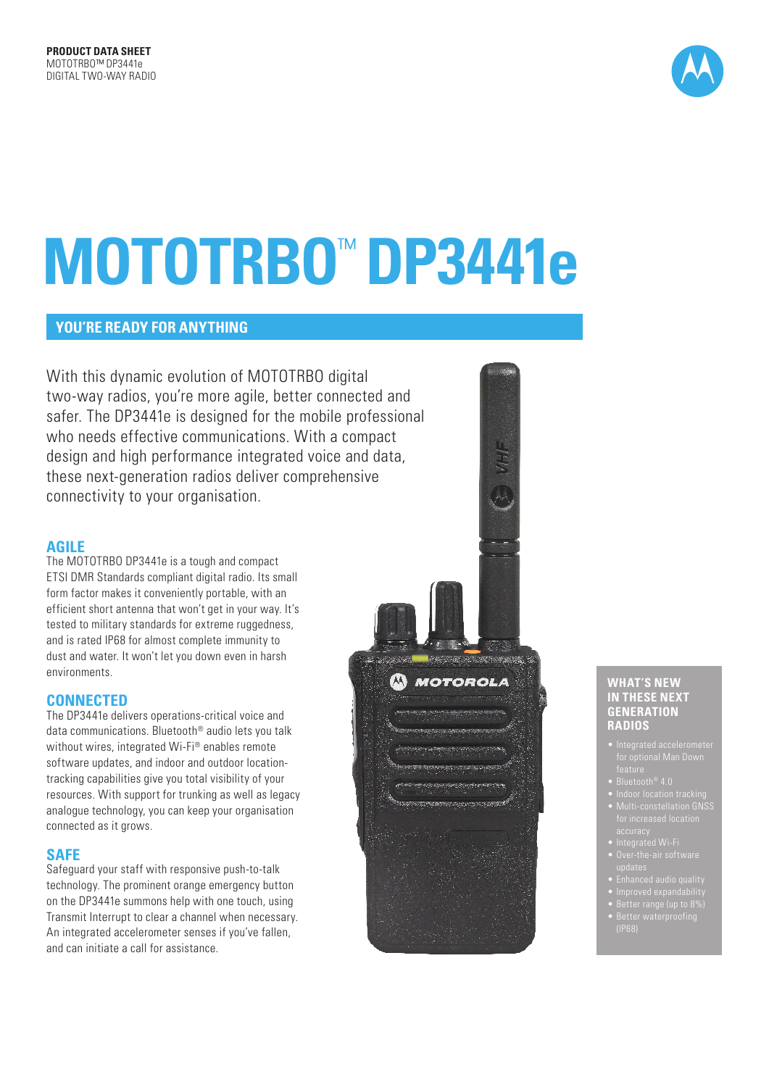

# **MOTOTRBO**™  **DP3441e**

# **YOU'RE READY FOR ANYTHING**

With this dynamic evolution of MOTOTRBO digital two-way radios, you're more agile, better connected and safer. The DP3441e is designed for the mobile professional who needs effective communications. With a compact design and high performance integrated voice and data, these next-generation radios deliver comprehensive connectivity to your organisation.

# **AGILE**

The MOTOTRBO DP3441e is a tough and compact ETSI DMR Standards compliant digital radio. Its small form factor makes it conveniently portable, with an efficient short antenna that won't get in your way. It's tested to military standards for extreme ruggedness, and is rated IP68 for almost complete immunity to dust and water. It won't let you down even in harsh environments.

# **CONNECTED**

The DP3441e delivers operations-critical voice and data communications. Bluetooth® audio lets you talk without wires, integrated Wi-Fi® enables remote software updates, and indoor and outdoor locationtracking capabilities give you total visibility of your resources. With support for trunking as well as legacy analogue technology, you can keep your organisation connected as it grows.

# **SAFE**

Safeguard your staff with responsive push-to-talk technology. The prominent orange emergency button on the DP3441e summons help with one touch, using Transmit Interrupt to clear a channel when necessary. An integrated accelerometer senses if you've fallen, and can initiate a call for assistance.



#### **WHAT'S NEW IN THESE NEXT GENERATION RADIOS**

- 
- 
- Multi-constellation GNSS
- 
- 
- 
- 
- 
-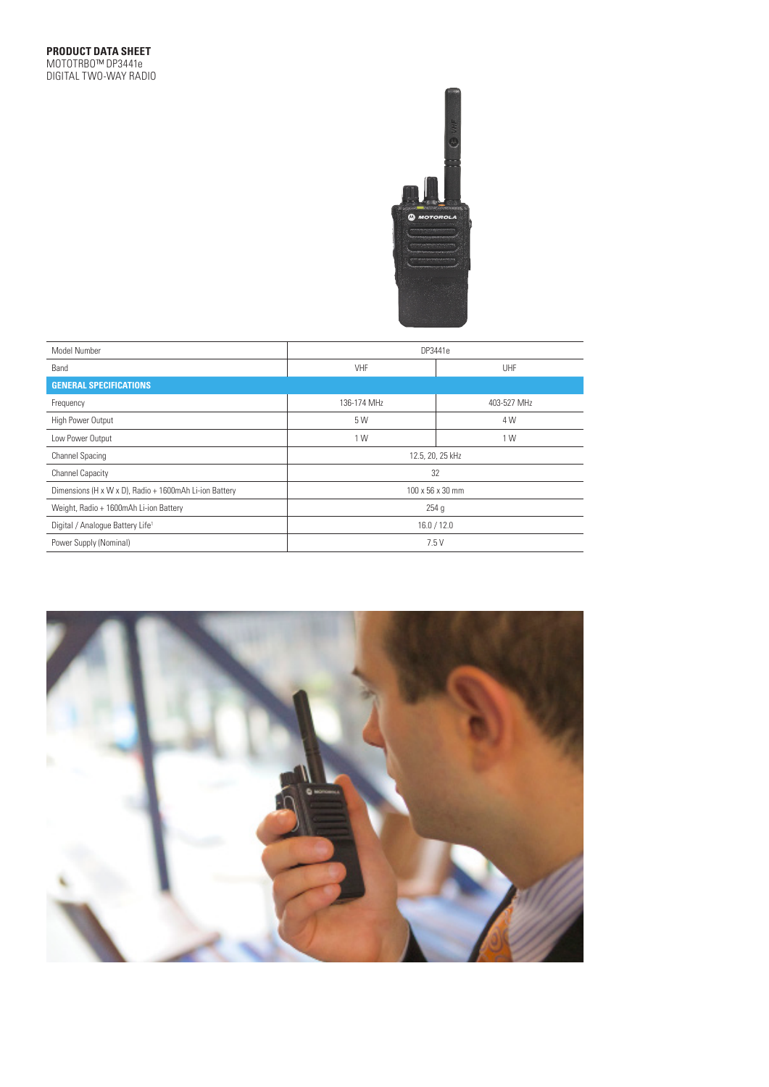

| Model Number                                           | DP3441e          |             |  |  |  |  |
|--------------------------------------------------------|------------------|-------------|--|--|--|--|
| Band                                                   | VHF              | UHF         |  |  |  |  |
| <b>GENERAL SPECIFICATIONS</b>                          |                  |             |  |  |  |  |
| Frequency                                              | 136-174 MHz      | 403-527 MHz |  |  |  |  |
| High Power Output                                      | 5 W              | 4 W         |  |  |  |  |
| Low Power Output                                       | 1 W              | 1 W         |  |  |  |  |
| <b>Channel Spacing</b>                                 | 12.5, 20, 25 kHz |             |  |  |  |  |
| <b>Channel Capacity</b>                                | 32               |             |  |  |  |  |
| Dimensions (H x W x D), Radio + 1600mAh Li-ion Battery | 100 x 56 x 30 mm |             |  |  |  |  |
| Weight, Radio + 1600mAh Li-ion Battery                 | 254g             |             |  |  |  |  |
| Digital / Analogue Battery Life <sup>1</sup>           | 16.0 / 12.0      |             |  |  |  |  |
| Power Supply (Nominal)                                 | 7.5V             |             |  |  |  |  |

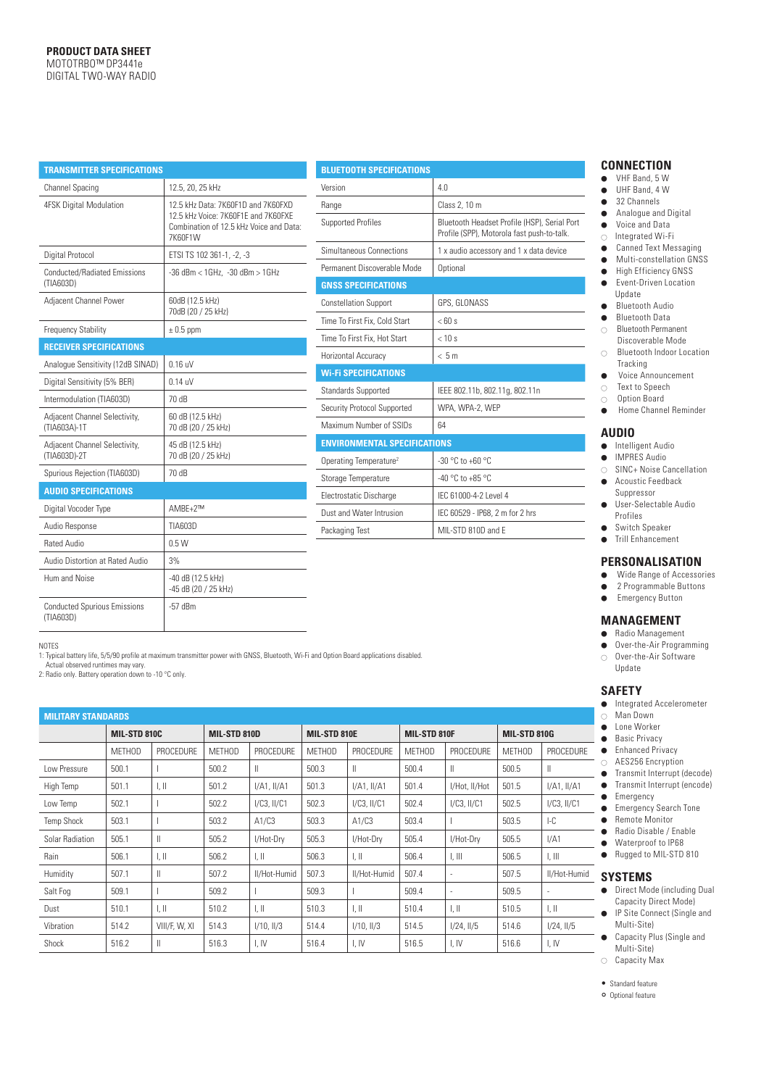| TRANSMITTER SPECIFICATIONS                       |                                                                                                                                 |
|--------------------------------------------------|---------------------------------------------------------------------------------------------------------------------------------|
| <b>Channel Spacing</b>                           | 12.5, 20, 25 kHz                                                                                                                |
| <b>4FSK Digital Modulation</b>                   | 12.5 kHz Data: 7K60F1D and 7K60FXD<br>12.5 kHz Voice: 7K60F1F and 7K60FXF<br>Combination of 12.5 kHz Voice and Data:<br>7K60F1W |
| Digital Protocol                                 | ETSI TS 102 361-1, -2, -3                                                                                                       |
| <b>Conducted/Radiated Emissions</b><br>(TIA603D) | -36 dBm < 1GHz, -30 dBm > 1GHz                                                                                                  |
| Adjacent Channel Power                           | 60dB (12.5 kHz)<br>70dB (20 / 25 kHz)                                                                                           |
| <b>Frequency Stability</b>                       | $\pm$ 0.5 ppm                                                                                                                   |
| <b>RECEIVER SPECIFICATIONS</b>                   |                                                                                                                                 |
| Analoque Sensitivity (12dB SINAD)                | $0.16$ uV                                                                                                                       |
| Digital Sensitivity (5% BER)                     | $0.14$ uV                                                                                                                       |
| Intermodulation (TIA603D)                        | 70 dB                                                                                                                           |
| Adjacent Channel Selectivity,<br>(TIA603A)-1T    | 60 dB (12.5 kHz)<br>70 dB (20 / 25 kHz)                                                                                         |
| Adjacent Channel Selectivity,<br>(TIA603D)-2T    | 45 dB (12.5 kHz)<br>70 dB (20 / 25 kHz)                                                                                         |
| Spurious Rejection (TIA603D)                     | 70 dB                                                                                                                           |
| <b>AUDIO SPECIFICATIONS</b>                      |                                                                                                                                 |
| Digital Vocoder Type                             | AMBE+2™                                                                                                                         |
| Audio Response                                   | TIA603D                                                                                                                         |
| Rated Audio                                      | 0.5W                                                                                                                            |
| Audio Distortion at Rated Audio                  | 3%                                                                                                                              |
| Hum and Noise                                    | -40 dB (12.5 kHz)<br>-45 dB (20 / 25 kHz)                                                                                       |
| <b>Conducted Spurious Emissions</b><br>(TIA603D) | -57 dBm                                                                                                                         |

| <b>BLUETOOTH SPECIFICATIONS</b>     |                                                                                            |  |  |  |  |
|-------------------------------------|--------------------------------------------------------------------------------------------|--|--|--|--|
| Version                             | 4 0                                                                                        |  |  |  |  |
| Range                               | Class 2, 10 m                                                                              |  |  |  |  |
| <b>Supported Profiles</b>           | Bluetooth Headset Profile (HSP), Serial Port<br>Profile (SPP), Motorola fast push-to-talk. |  |  |  |  |
| Simultaneous Connections            | 1 x audio accessory and 1 x data device                                                    |  |  |  |  |
| Permanent Discoverable Mode         | Optional                                                                                   |  |  |  |  |
| <b>GNSS SPECIFICATIONS</b>          |                                                                                            |  |  |  |  |
| <b>Constellation Support</b>        | GPS, GLONASS                                                                               |  |  |  |  |
| Time To First Fix. Cold Start       | $<$ 60 s                                                                                   |  |  |  |  |
| Time To First Fix. Hot Start        | $< 10$ s                                                                                   |  |  |  |  |
| Horizontal Accuracy                 | < 5m                                                                                       |  |  |  |  |
| <b>Wi-Fi SPECIFICATIONS</b>         |                                                                                            |  |  |  |  |
| <b>Standards Supported</b>          | IEEE 802.11b, 802.11g, 802.11n                                                             |  |  |  |  |
| Security Protocol Supported         | WPA, WPA-2, WEP                                                                            |  |  |  |  |
| Maximum Number of SSIDs             | 64                                                                                         |  |  |  |  |
| <b>ENVIRONMENTAL SPECIFICATIONS</b> |                                                                                            |  |  |  |  |
| Operating Temperature <sup>2</sup>  | $-30$ °C to $+60$ °C                                                                       |  |  |  |  |
| Storage Temperature                 | $-40$ °C to $+85$ °C                                                                       |  |  |  |  |
| Electrostatic Discharge             | IFC 61000-4-2 Level 4                                                                      |  |  |  |  |
| Dust and Water Intrusion            | IEC 60529 - IP68, 2 m for 2 hrs                                                            |  |  |  |  |
| Packaging Test                      | MII-STD 810D and F                                                                         |  |  |  |  |
|                                     |                                                                                            |  |  |  |  |

#### **CONNECTION**

- ⃝ VHF Band, 5 W
- $\bullet$  UHF Band, 4 W
- $\bullet$  32 Channels
- ⃝ Analogue and Digital
- Voice and Data
- $\circ$  Integrated Wi-Fi
- Canned Text Messaging ⃝ Multi-constellation GNSS
- ⃝ High Efficiency GNSS
- Event-Driven Location Update
- Bluetooth Audio
- ⃝ Bluetooth Data
- ⃝ Bluetooth Permanent
- Discoverable Mode ⃝ Bluetooth Indoor Location Tracking
- Voice Announcement
- ⃝ Text to Speech
- ⃝ Option Board
- Home Channel Reminder

#### **AUDIO**

- Intelligent Audio
	- ⃝ IMPRES Audio
- ⃝ SINC+ Noise Cancellation ● Acoustic Feedback
- Suppressor ● User-Selectable Audio Profiles
- ⃝ Switch Speaker
- ⃝ Trill Enhancement

#### **PERSONALISATION**

- ⃝ Wide Range of Accessories
- 2 Programmable Buttons
- Emergency Button

#### **MANAGEMENT**

- ⃝ Radio Management
- Over-the-Air Programming ⃝ Over-the-Air Software Update

#### **SAFETY**

- ⃝ Integrated Accelerometer
- ⃝ Man Down
- Lone Worker
- Basic Privacy
- URE Castle Filivacy<br>
Contract Privacy<br>
Contract -
	- $\circ$  AES256 Encryption
	- Transmit Interrupt (decode)
	- ⃝ Transmit Interrupt (encode)  $\bullet$  Emergency
	- Emergency Search Tone
		- Remote Monitor
	- Radio Disable / Enable
	- ⃝ Waterproof to IP68 ● Rugged to MIL-STD 810

# umid **SYSTEMS**

- Direct Mode (including Dual Capacity Direct Mode)
- **■** IP Site Connect (Single and Multi-Site)
	- ⃝ Capacity Plus (Single and Multi-Site)
	- ⃝ Capacity Max
	- Standard feature
	- O Optional feature

NOTES

1: Typical battery life, 5/5/90 profile at maximum transmitter power with GNSS, Bluetooth, Wi-Fi and Option Board applications disabled.

| <b>MILITARY STANDARDS</b> |                     |                           |               |                  |               |                           |               |                           |               |                           |
|---------------------------|---------------------|---------------------------|---------------|------------------|---------------|---------------------------|---------------|---------------------------|---------------|---------------------------|
|                           | <b>MIL-STD 810C</b> |                           | MIL-STD 810D  |                  | MIL-STD 810E  |                           | MIL-STD 810F  |                           | MIL-STD 810G  |                           |
|                           | <b>METHOD</b>       | PROCEDURE                 | <b>METHOD</b> | <b>PROCEDURE</b> | <b>METHOD</b> | PROCEDURE                 | <b>METHOD</b> | PROCEDURE                 | <b>METHOD</b> | PROCEDURE                 |
| I ow Pressure             | 500.1               |                           | 500.2         | Ш                | 500.3         | $\mathbf{I}$              | 500.4         | $\mathbb{I}$              | 500.5         | $\mathbb{I}$              |
| High Temp                 | 501.1               | $\parallel$ , $\parallel$ | 501.2         | $I/A1$ , $II/A1$ | 501.3         | $I/A1$ , $II/A1$          | 501.4         | I/Hot, II/Hot             | 501.5         | I/A1, II/A1               |
| Low Temp                  | 502.1               |                           | 502.2         | $I/C3$ , $II/C1$ | 502.3         | $I/C3$ , $II/C1$          | 502.4         | $I/C3$ , $II/C1$          | 502.5         | $I/C3$ , $II/C1$          |
| <b>Temp Shock</b>         | 503.1               |                           | 503.2         | A1/C3            | 503.3         | A1/C3                     | 503.4         |                           | 503.5         | $-C$                      |
| Solar Radiation           | 505.1               | $\mathbb{I}$              | 505.2         | I/Hot-Dry        | 505.3         | I/Hot-Dry                 | 505.4         | I/Hot-Dry                 | 505.5         | I/A1                      |
| Rain                      | 506.1               | $\parallel$ , $\parallel$ | 506.2         | I, II            | 506.3         | $\parallel$ , $\parallel$ | 506.4         | 1, III                    | 506.5         | 1, III                    |
| Humidity                  | 507.1               | $\mathbb{I}$              | 507.2         | II/Hot-Humid     | 507.3         | II/Hot-Humid              | 507.4         | $\overline{\phantom{a}}$  | 507.5         | II/Hot-Humid              |
| Salt Fog                  | 509.1               |                           | 509.2         |                  | 509.3         |                           | 509.4         | $\overline{\phantom{a}}$  | 509.5         |                           |
| Dust                      | 510.1               | $\parallel$ , $\parallel$ | 510.2         | I, II            | 510.3         | $\parallel$ , $\parallel$ | 510.4         | $\parallel$ , $\parallel$ | 510.5         | $\parallel$ , $\parallel$ |
| Vibration                 | 514.2               | VIII/F. W. XI             | 514.3         | $I/10$ , $II/3$  | 514.4         | $1/10.$ 11/3              | 514.5         | 1/24.11/5                 | 514.6         | $1/24$ , $11/5$           |
| Shock                     | 516.2               | $\mathbb{I}$              | 516.3         | I, IV            | 516.4         | I, IV                     | 516.5         | I, IV                     | 516.6         | I, IV                     |

# Actual observed runtimes may vary. 2: Radio only. Battery operation down to -10 °C only.